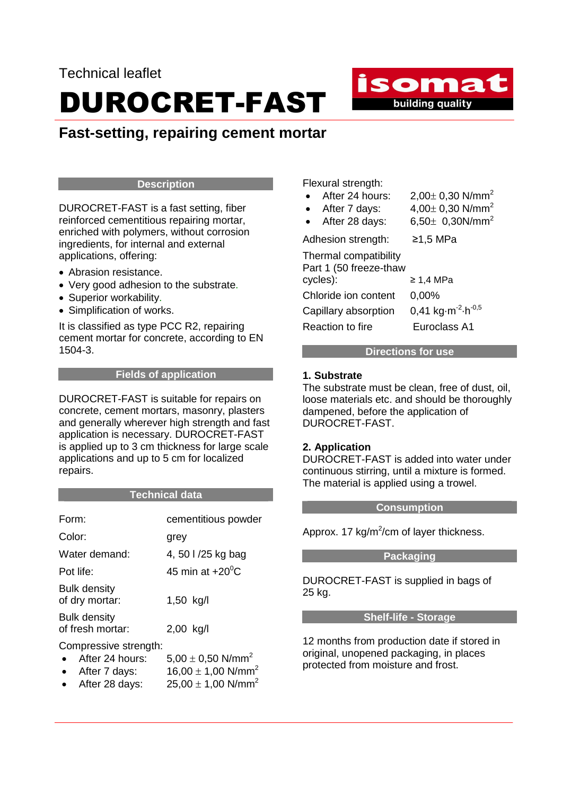## DUROCRET-FAST

### **Fast-setting, repairing cement mortar**

#### **Description**

DUROCRET-FAST is a fast setting, fiber reinforced cementitious repairing mortar, enriched with polymers, without corrosion ingredients, for internal and external applications, offering:

- Abrasion resistance.
- Very good adhesion to the substrate.
- Superior workability.
- Simplification of works.

It is classified as type PCC R2, repairing cement mortar for concrete, according to EN 1504-3.

#### **Fields of application**

DUROCRET-FAST is suitable for repairs on concrete, cement mortars, masonry, plasters and generally wherever high strength and fast application is necessary. DUROCRET-FAST is applied up to 3 cm thickness for large scale applications and up to 5 cm for localized repairs.

#### **Technical data**

| Form:                                                     | cementitious powder                                                     |
|-----------------------------------------------------------|-------------------------------------------------------------------------|
| Color:                                                    | grey                                                                    |
| Water demand:                                             | 4, 50 l /25 kg bag                                                      |
| Pot life:                                                 | 45 min at $+20^0$ C                                                     |
| <b>Bulk density</b><br>of dry mortar:                     | 1,50 kg/l                                                               |
| <b>Bulk density</b><br>of fresh mortar:                   | 2,00 kg/l                                                               |
| Compressive strength:<br>After 24 hours:<br>After 7 days: | 5,00 $\pm$ 0,50 N/mm <sup>2</sup><br>16,00 $\pm$ 1,00 N/mm <sup>2</sup> |

After 28 days:  $25,00 \pm 1,00$  N/mm<sup>2</sup>

Flexural strength:

| After 24 hours:            | 2,00 $\pm$ 0,30 N/mm <sup>2</sup>                         |
|----------------------------|-----------------------------------------------------------|
| After 7 days:<br>$\bullet$ | 4,00 $\pm$ 0,30 N/mm <sup>2</sup>                         |
| After 28 days:             | 6,50 $\pm$ 0,30N/mm <sup>2</sup>                          |
| Adhesion strength:         | ≥1,5 MPa                                                  |
| Thermal compatibility      |                                                           |
| Part 1 (50 freeze-thaw     |                                                           |
| cycles):                   | $\geq 1.4$ MPa                                            |
| Chloride ion content       | 0,00%                                                     |
| Capillary absorption       | 0,41 kg $\cdot$ m <sup>-2</sup> $\cdot$ h <sup>-0,5</sup> |
| Reaction to fire           | Euroclass A1                                              |

isomat

**building quality** 

#### **Directions for use**

#### **1. Substrate**

The substrate must be clean, free of dust, oil, loose materials etc. and should be thoroughly dampened, before the application of DUROCRET-FAST.

#### **2. Application**

DUROCRET-FAST is added into water under continuous stirring, until a mixture is formed. The material is applied using a trowel.

#### **Consumption**

Approx. 17 kg/m<sup>2</sup>/cm of layer thickness.

#### **Packaging**

DUROCRET-FAST is supplied in bags of 25 kg.

#### **Shelf-life - Storage**

12 months from production date if stored in original, unopened packaging, in places protected from moisture and frost.